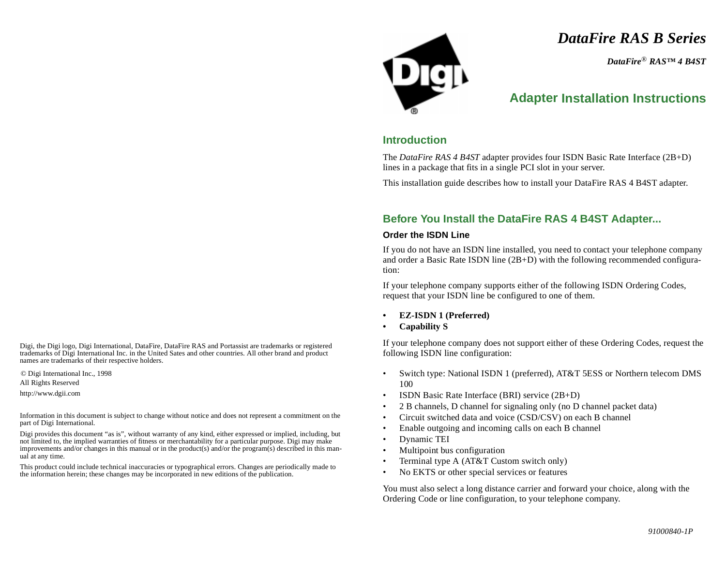*DataFire RAS B Series*

*DataFire* ® *RAS™ 4 B4ST*

# **Adapter Installation Instructions**

### **Introduction**

The *DataFire RAS 4 B4ST* adapter provides four ISDN Basic Rate Interface (2B+D) lines in a package that fits in a single PCI slot in your server.

This installation guide describes how to install your DataFire RAS 4 B4ST adapter.

# **Before You Install the DataFire RAS 4 B4ST Adapter...**

#### **Order the ISDN Line**

If you do not have an ISDN line installed, you need to contact your telephone company and order a Basic Rate ISDN line (2B+D) with the following recommended configuration:

If your telephone company supports either of the following ISDN Ordering Codes, request that your ISDN line be configured to one of them.

- **• EZ-ISDN 1 (Preferred)**
- **• Capability S**

If your telephone company does not support either of these Ordering Codes, request the following ISDN line configuration:

- • Switch type: National ISDN 1 (preferred), AT&T 5ESS or Northern telecom DMS 100
- •ISDN Basic Rate Interface (BRI) service (2B+D)
- •2 B channels, D channel for signaling only (no D channel packet data)
- •Circuit switched data and voice (CSD/CSV) on each B channel
- •Enable outgoing and incoming calls on each B channel
- •Dynamic TEI
- •Multipoint bus configuration
- •Terminal type A (AT&T Custom switch only)
- •No EKTS or other special services or features

You must also select a long distance carrier and forward your choice, along with the Ordering Code or line configuration, to your telephone company.

Digi, the Digi logo, Digi International, DataFire, DataFire RAS and Portassist are trademarks or registered trademarks of Digi International Inc. in the United Sates and other countries. All other brand and product names are trademarks of their respective holders.

© Digi International Inc., 1998

All Rights Reserved

http://www.dgii.com

Information in this document is subject to change without notice and does not represent a commitment on the part of Digi International.

Digi provides this document "as is", without warranty of any kind, either expressed or implied, including, but not limited to, the implied warranties of fitness or merchantability for a particular purpose. Digi may make improvements and/or changes in this manual or in the product(s) and/or the program(s) described in this manual at any time.

This product could include technical inaccuracies or typographical errors. Changes are periodically made to the information herein; these changes may be incorporated in new editions of the publication.